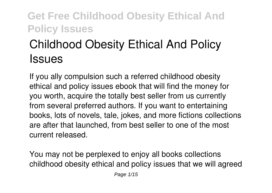# **Childhood Obesity Ethical And Policy Issues**

If you ally compulsion such a referred **childhood obesity ethical and policy issues** ebook that will find the money for you worth, acquire the totally best seller from us currently from several preferred authors. If you want to entertaining books, lots of novels, tale, jokes, and more fictions collections are after that launched, from best seller to one of the most current released.

You may not be perplexed to enjoy all books collections childhood obesity ethical and policy issues that we will agreed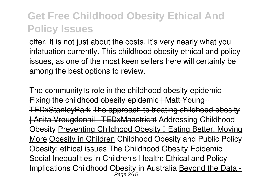offer. It is not just about the costs. It's very nearly what you infatuation currently. This childhood obesity ethical and policy issues, as one of the most keen sellers here will certainly be among the best options to review.

The community as role in the childhood obesity epidemic Fixing the childhood obesity epidemic | Matt Young | TEDxStanleyPark The approach to treating childhood obesity | Anita Vreugdenhil | TEDxMaastricht Addressing Childhood Obesity Preventing Childhood Obesity II Eating Better, Moving More Obesity in Children *Childhood Obesity and Public Policy* **Obesity: ethical issues** *The Childhood Obesity Epidemic Social Inequalities in Children's Health: Ethical and Policy Implications Childhood Obesity in Australia* Beyond the Data - Page 2/15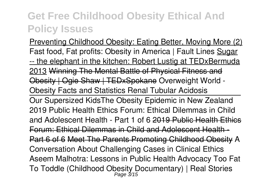Preventing Childhood Obesity: Eating Better, Moving More (2) *Fast food, Fat profits: Obesity in America | Fault Lines* Sugar -- the elephant in the kitchen: Robert Lustig at TEDxBermuda 2013 Winning The Mental Battle of Physical Fitness and Obesity | Ogie Shaw | TEDxSpokane **Overweight World - Obesity Facts and Statistics** Renal Tubular Acidosis Our Supersized Kids**The Obesity Epidemic in New Zealand 2019 Public Health Ethics Forum: Ethical Dilemmas in Child and Adolescent Health - Part 1 of 6** 2019 Public Health Ethics Forum: Ethical Dilemmas in Child and Adolescent Health - Part 6 of 6 Meet The Parents Promoting Childhood Obesity A Conversation About Challenging Cases in Clinical Ethics Aseem Malhotra: Lessons in Public Health Advocacy *Too Fat To Toddle (Childhood Obesity Documentary) | Real Stories* Page 3/15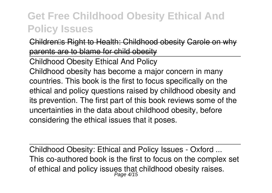Children's Right to Health: Childhood obesity Carole on why parents are to blame for child obesity

Childhood Obesity Ethical And Policy

Childhood obesity has become a major concern in many countries. This book is the first to focus specifically on the ethical and policy questions raised by childhood obesity and its prevention. The first part of this book reviews some of the uncertainties in the data about childhood obesity, before considering the ethical issues that it poses.

Childhood Obesity: Ethical and Policy Issues - Oxford ... This co-authored book is the first to focus on the complex set of ethical and policy issues that childhood obesity raises.<br>Page 4/15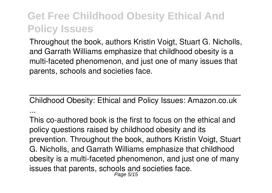Throughout the book, authors Kristin Voigt, Stuart G. Nicholls, and Garrath Williams emphasize that childhood obesity is a multi-faceted phenomenon, and just one of many issues that parents, schools and societies face.

Childhood Obesity: Ethical and Policy Issues: Amazon.co.uk ...

This co-authored book is the first to focus on the ethical and policy questions raised by childhood obesity and its prevention. Throughout the book, authors Kristin Voigt, Stuart G. Nicholls, and Garrath Williams emphasize that childhood obesity is a multi-faceted phenomenon, and just one of many issues that parents, schools and societies face. Page 5/15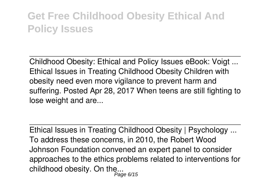Childhood Obesity: Ethical and Policy Issues eBook: Voigt ... Ethical Issues in Treating Childhood Obesity Children with obesity need even more vigilance to prevent harm and suffering. Posted Apr 28, 2017 When teens are still fighting to lose weight and are...

Ethical Issues in Treating Childhood Obesity | Psychology ... To address these concerns, in 2010, the Robert Wood Johnson Foundation convened an expert panel to consider approaches to the ethics problems related to interventions for childhood obesity. On the... Page 6/15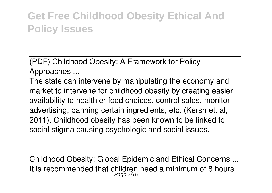(PDF) Childhood Obesity: A Framework for Policy Approaches ...

The state can intervene by manipulating the economy and market to intervene for childhood obesity by creating easier availability to healthier food choices, control sales, monitor advertising, banning certain ingredients, etc. (Kersh et. al, 2011). Childhood obesity has been known to be linked to social stigma causing psychologic and social issues.

Childhood Obesity: Global Epidemic and Ethical Concerns ... It is recommended that children need a minimum of 8 hours Page 7/15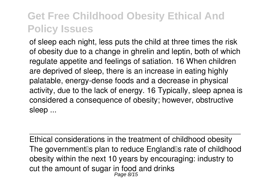of sleep each night, less puts the child at three times the risk of obesity due to a change in ghrelin and leptin, both of which regulate appetite and feelings of satiation. 16 When children are deprived of sleep, there is an increase in eating highly palatable, energy-dense foods and a decrease in physical activity, due to the lack of energy. 16 Typically, sleep apnea is considered a consequence of obesity; however, obstructive sleep ...

Ethical considerations in the treatment of childhood obesity The government<sup>®</sup>s plan to reduce England<sup>®</sup>s rate of childhood obesity within the next 10 years by encouraging: industry to cut the amount of sugar in food and drinks Page 8/15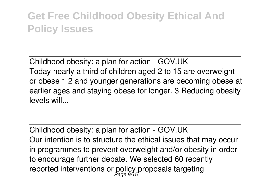Childhood obesity: a plan for action - GOV.UK Today nearly a third of children aged 2 to 15 are overweight or obese 1 2 and younger generations are becoming obese at earlier ages and staying obese for longer. 3 Reducing obesity levels will...

Childhood obesity: a plan for action - GOV.UK Our intention is to structure the ethical issues that may occur in programmes to prevent overweight and/or obesity in order to encourage further debate. We selected 60 recently reported interventions or policy proposals targeting Page 9/15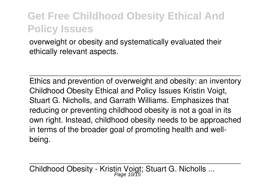overweight or obesity and systematically evaluated their ethically relevant aspects.

Ethics and prevention of overweight and obesity: an inventory Childhood Obesity Ethical and Policy Issues Kristin Voigt, Stuart G. Nicholls, and Garrath Williams. Emphasizes that reducing or preventing childhood obesity is not a goal in its own right. Instead, childhood obesity needs to be approached in terms of the broader goal of promoting health and wellbeing.

Childhood Obesity - Kristin Voigt; Stuart G. Nicholls ...<br>Page 10/15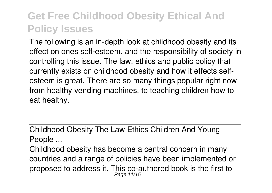The following is an in-depth look at childhood obesity and its effect on ones self-esteem, and the responsibility of society in controlling this issue. The law, ethics and public policy that currently exists on childhood obesity and how it effects selfesteem is great. There are so many things popular right now from healthy vending machines, to teaching children how to eat healthy.

Childhood Obesity The Law Ethics Children And Young People ...

Childhood obesity has become a central concern in many countries and a range of policies have been implemented or proposed to address it. This co-authored book is the first to Page 11/15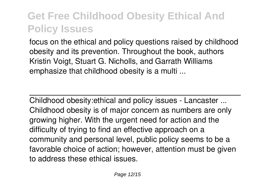focus on the ethical and policy questions raised by childhood obesity and its prevention. Throughout the book, authors Kristin Voigt, Stuart G. Nicholls, and Garrath Williams emphasize that childhood obesity is a multi ...

Childhood obesity:ethical and policy issues - Lancaster ... Childhood obesity is of major concern as numbers are only growing higher. With the urgent need for action and the difficulty of trying to find an effective approach on a community and personal level, public policy seems to be a favorable choice of action; however, attention must be given to address these ethical issues.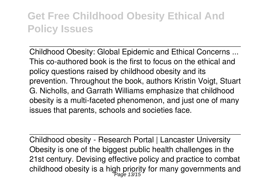Childhood Obesity: Global Epidemic and Ethical Concerns ... This co-authored book is the first to focus on the ethical and policy questions raised by childhood obesity and its prevention. Throughout the book, authors Kristin Voigt, Stuart G. Nicholls, and Garrath Williams emphasize that childhood obesity is a multi-faceted phenomenon, and just one of many issues that parents, schools and societies face.

Childhood obesity - Research Portal | Lancaster University Obesity is one of the biggest public health challenges in the 21st century. Devising effective policy and practice to combat childhood obesity is a high priority for many governments and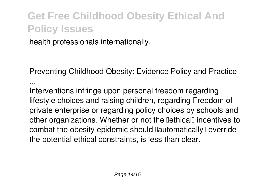health professionals internationally.

Preventing Childhood Obesity: Evidence Policy and Practice ...

Interventions infringe upon personal freedom regarding lifestyle choices and raising children, regarding Freedom of private enterprise or regarding policy choices by schools and other organizations. Whether or not the **DethicalD** incentives to combat the obesity epidemic should lautomatically loverride the potential ethical constraints, is less than clear.